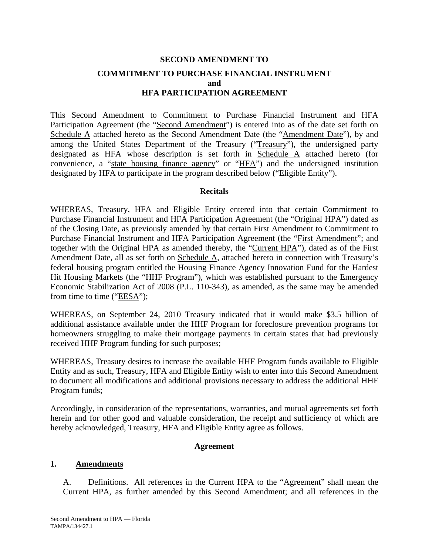# **SECOND AMENDMENT TO COMMITMENT TO PURCHASE FINANCIAL INSTRUMENT and HFA PARTICIPATION AGREEMENT**

This Second Amendment to Commitment to Purchase Financial Instrument and HFA Participation Agreement (the "Second Amendment") is entered into as of the date set forth on Schedule A attached hereto as the Second Amendment Date (the "Amendment Date"), by and among the United States Department of the Treasury ("Treasury"), the undersigned party designated as HFA whose description is set forth in Schedule A attached hereto (for convenience, a "state housing finance agency" or "HFA") and the undersigned institution designated by HFA to participate in the program described below ("Eligible Entity").

### **Recitals**

WHEREAS, Treasury, HFA and Eligible Entity entered into that certain Commitment to Purchase Financial Instrument and HFA Participation Agreement (the "Original HPA") dated as of the Closing Date, as previously amended by that certain First Amendment to Commitment to Purchase Financial Instrument and HFA Participation Agreement (the "First Amendment"; and together with the Original HPA as amended thereby, the "Current HPA"), dated as of the First Amendment Date, all as set forth on Schedule A, attached hereto in connection with Treasury's federal housing program entitled the Housing Finance Agency Innovation Fund for the Hardest Hit Housing Markets (the "HHF Program"), which was established pursuant to the Emergency Economic Stabilization Act of 2008 (P.L. 110-343), as amended, as the same may be amended from time to time ("EESA");

WHEREAS, on September 24, 2010 Treasury indicated that it would make \$3.5 billion of additional assistance available under the HHF Program for foreclosure prevention programs for homeowners struggling to make their mortgage payments in certain states that had previously received HHF Program funding for such purposes;

WHEREAS, Treasury desires to increase the available HHF Program funds available to Eligible Entity and as such, Treasury, HFA and Eligible Entity wish to enter into this Second Amendment to document all modifications and additional provisions necessary to address the additional HHF Program funds;

Accordingly, in consideration of the representations, warranties, and mutual agreements set forth herein and for other good and valuable consideration, the receipt and sufficiency of which are hereby acknowledged, Treasury, HFA and Eligible Entity agree as follows.

### **Agreement**

### **1. Amendments**

A. Definitions. All references in the Current HPA to the "Agreement" shall mean the Current HPA, as further amended by this Second Amendment; and all references in the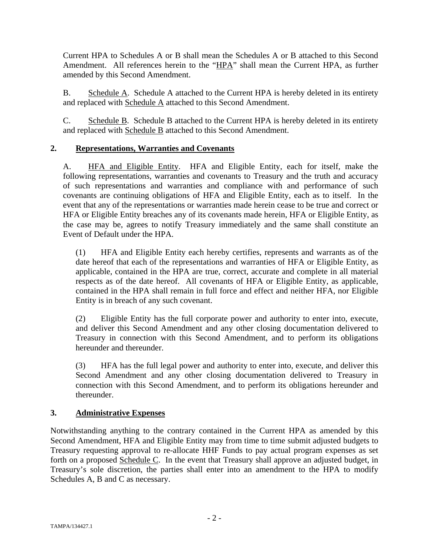Current HPA to Schedules A or B shall mean the Schedules A or B attached to this Second Amendment. All references herein to the "HPA" shall mean the Current HPA, as further amended by this Second Amendment.

B. Schedule A. Schedule A attached to the Current HPA is hereby deleted in its entirety and replaced with Schedule A attached to this Second Amendment.

C. Schedule B. Schedule B attached to the Current HPA is hereby deleted in its entirety and replaced with Schedule B attached to this Second Amendment.

# **2. Representations, Warranties and Covenants**

A. HFA and Eligible Entity. HFA and Eligible Entity, each for itself, make the following representations, warranties and covenants to Treasury and the truth and accuracy of such representations and warranties and compliance with and performance of such covenants are continuing obligations of HFA and Eligible Entity, each as to itself. In the event that any of the representations or warranties made herein cease to be true and correct or HFA or Eligible Entity breaches any of its covenants made herein, HFA or Eligible Entity, as the case may be, agrees to notify Treasury immediately and the same shall constitute an Event of Default under the HPA.

(1) HFA and Eligible Entity each hereby certifies, represents and warrants as of the date hereof that each of the representations and warranties of HFA or Eligible Entity, as applicable, contained in the HPA are true, correct, accurate and complete in all material respects as of the date hereof. All covenants of HFA or Eligible Entity, as applicable, contained in the HPA shall remain in full force and effect and neither HFA, nor Eligible Entity is in breach of any such covenant.

(2) Eligible Entity has the full corporate power and authority to enter into, execute, and deliver this Second Amendment and any other closing documentation delivered to Treasury in connection with this Second Amendment, and to perform its obligations hereunder and thereunder.

(3) HFA has the full legal power and authority to enter into, execute, and deliver this Second Amendment and any other closing documentation delivered to Treasury in connection with this Second Amendment, and to perform its obligations hereunder and thereunder.

# **3. Administrative Expenses**

Notwithstanding anything to the contrary contained in the Current HPA as amended by this Second Amendment, HFA and Eligible Entity may from time to time submit adjusted budgets to Treasury requesting approval to re-allocate HHF Funds to pay actual program expenses as set forth on a proposed Schedule C. In the event that Treasury shall approve an adjusted budget, in Treasury's sole discretion, the parties shall enter into an amendment to the HPA to modify Schedules A, B and C as necessary.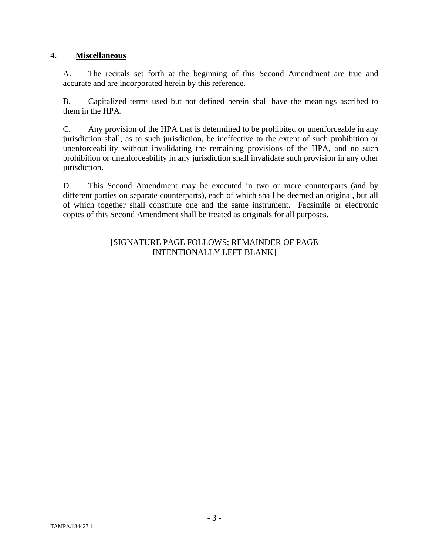# **4. Miscellaneous**

A. The recitals set forth at the beginning of this Second Amendment are true and accurate and are incorporated herein by this reference.

B. Capitalized terms used but not defined herein shall have the meanings ascribed to them in the HPA.

C. Any provision of the HPA that is determined to be prohibited or unenforceable in any jurisdiction shall, as to such jurisdiction, be ineffective to the extent of such prohibition or unenforceability without invalidating the remaining provisions of the HPA, and no such prohibition or unenforceability in any jurisdiction shall invalidate such provision in any other jurisdiction.

D. This Second Amendment may be executed in two or more counterparts (and by different parties on separate counterparts), each of which shall be deemed an original, but all of which together shall constitute one and the same instrument. Facsimile or electronic copies of this Second Amendment shall be treated as originals for all purposes.

### [SIGNATURE PAGE FOLLOWS; REMAINDER OF PAGE INTENTIONALLY LEFT BLANK]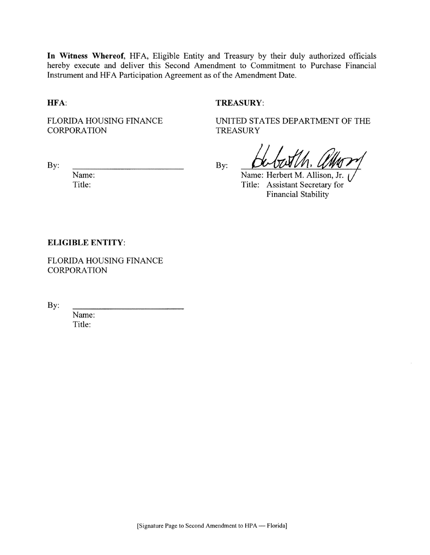In Witness Whereof, HFA, Eligible Entity and Treasury by their duly authorized officials hereby execute and deliver this Second Amendment to Commitment to Purchase Financial Instrument and HFA Participation Agreement as of the Amendment Date.

By:

### HFA:

By:

### TREASURY:

**FLORIDA HOUSING FINANCE CORPORATION** 

UNITED STATES DEPARTMENT OF THE **TREASURY** 

Name: Herbert M. Allison, Jr. Title: Assistant Secretary for **Financial Stability** 

### **ELIGIBLE ENTITY:**

Name:

Title:

FLORIDA HOUSING FINANCE **CORPORATION** 

By:

Name: Title: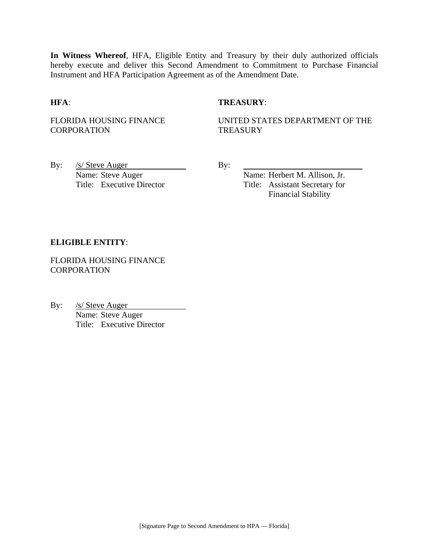**In Witness Whereof**, HFA, Eligible Entity and Treasury by their duly authorized officials hereby execute and deliver this Second Amendment to Commitment to Purchase Financial Instrument and HFA Participation Agreement as of the Amendment Date.

### **HFA**: **TREASURY**:

FLORIDA HOUSING FINANCE **CORPORATION** 

UNITED STATES DEPARTMENT OF THE **TREASURY** 

By:  $/s/$  Steve Auger By: Name: Steve Auger Name: Herbert M. Allison, Jr.

Title: Executive Director Title: Assistant Secretary for Financial Stability

### **ELIGIBLE ENTITY**:

FLORIDA HOUSING FINANCE **CORPORATION** 

By: /s/ Steve Auger Name: Steve Auger Title: Executive Director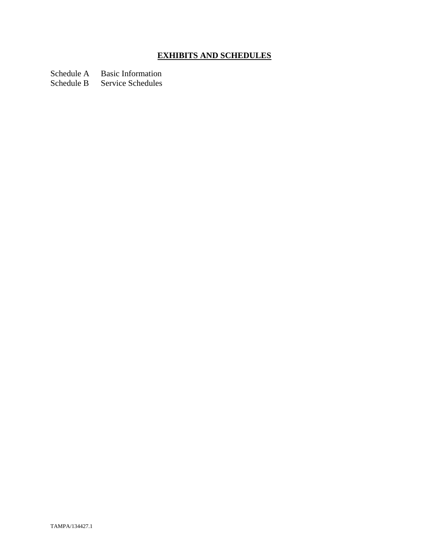# **EXHIBITS AND SCHEDULES**

Schedule A Basic Information

Schedule B Service Schedules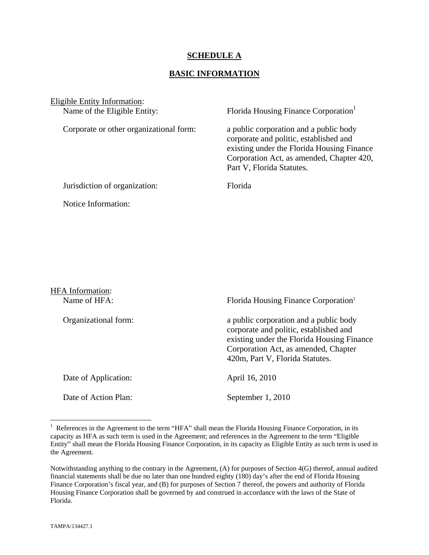### **SCHEDULE A**

### **BASIC INFORMATION**

Eligible Entity Information:<br>Name of the Eligible Entity:

Corporate or other organizational form: a public corporation and a public body

Florida Housing Finance Corporation<sup>1</sup>

 corporate and politic, established and existing under the Florida Housing Finance Corporation Act, as amended, Chapter 420, Part V, Florida Statutes.

Jurisdiction of organization: Florida

Notice Information:

HFA Information: Name of HFA: Florida Housing Finance Corporation<sup>1</sup> Organizational form: a public corporation and a public body corporate and politic, established and existing under the Florida Housing Finance Corporation Act, as amended, Chapter 420m, Part V, Florida Statutes. Date of Application: April 16, 2010 Date of Action Plan: September 1, 2010

1

<sup>&</sup>lt;sup>1</sup> References in the Agreement to the term "HFA" shall mean the Florida Housing Finance Corporation, in its capacity as HFA as such term is used in the Agreement; and references in the Agreement to the term "Eligible Entity" shall mean the Florida Housing Finance Corporation, in its capacity as Eligible Entity as such term is used in the Agreement.

Notwithstanding anything to the contrary in the Agreement, (A) for purposes of Section 4(G) thereof, annual audited financial statements shall be due no later than one hundred eighty (180) day's after the end of Florida Housing Finance Corporation's fiscal year, and (B) for purposes of Section 7 thereof, the powers and authority of Florida Housing Finance Corporation shall be governed by and construed in accordance with the laws of the State of Florida.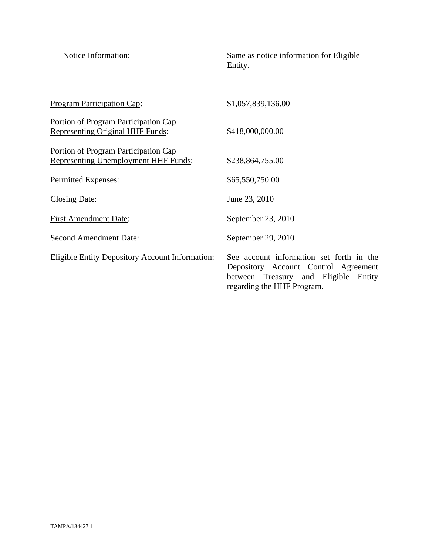| Notice Information:                                                                 | Same as notice information for Eligible<br>Entity.                                                                                                        |
|-------------------------------------------------------------------------------------|-----------------------------------------------------------------------------------------------------------------------------------------------------------|
| Program Participation Cap:                                                          | \$1,057,839,136.00                                                                                                                                        |
| Portion of Program Participation Cap<br>Representing Original HHF Funds:            | \$418,000,000.00                                                                                                                                          |
| Portion of Program Participation Cap<br><b>Representing Unemployment HHF Funds:</b> | \$238,864,755.00                                                                                                                                          |
| Permitted Expenses:                                                                 | \$65,550,750.00                                                                                                                                           |
| <b>Closing Date:</b>                                                                | June 23, 2010                                                                                                                                             |
| <b>First Amendment Date:</b>                                                        | September 23, 2010                                                                                                                                        |
| <b>Second Amendment Date:</b>                                                       | September 29, 2010                                                                                                                                        |
| <b>Eligible Entity Depository Account Information:</b>                              | See account information set forth in the<br>Depository Account Control Agreement<br>between Treasury and Eligible<br>Entity<br>regarding the HHF Program. |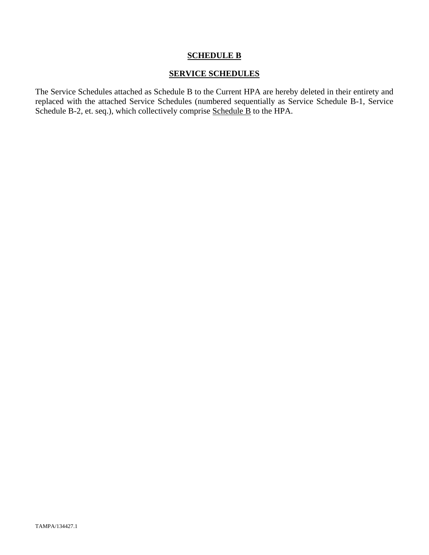# **SCHEDULE B**

### **SERVICE SCHEDULES**

The Service Schedules attached as Schedule B to the Current HPA are hereby deleted in their entirety and replaced with the attached Service Schedules (numbered sequentially as Service Schedule B-1, Service Schedule B-2, et. seq.), which collectively comprise Schedule B to the HPA.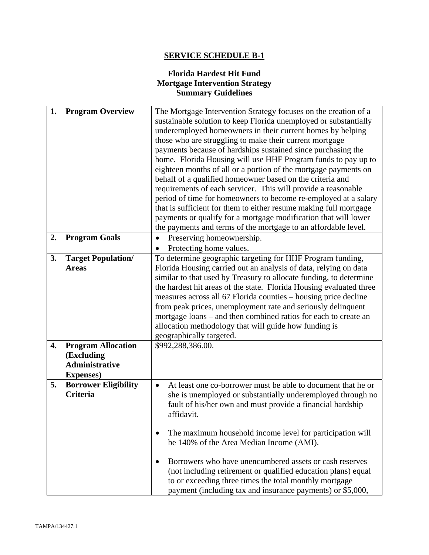# **SERVICE SCHEDULE B-1**

# **Florida Hardest Hit Fund Mortgage Intervention Strategy Summary Guidelines**

| 1. | <b>Program Overview</b>     | The Mortgage Intervention Strategy focuses on the creation of a           |
|----|-----------------------------|---------------------------------------------------------------------------|
|    |                             | sustainable solution to keep Florida unemployed or substantially          |
|    |                             | underemployed homeowners in their current homes by helping                |
|    |                             | those who are struggling to make their current mortgage                   |
|    |                             | payments because of hardships sustained since purchasing the              |
|    |                             | home. Florida Housing will use HHF Program funds to pay up to             |
|    |                             | eighteen months of all or a portion of the mortgage payments on           |
|    |                             | behalf of a qualified homeowner based on the criteria and                 |
|    |                             | requirements of each servicer. This will provide a reasonable             |
|    |                             | period of time for homeowners to become re-employed at a salary           |
|    |                             | that is sufficient for them to either resume making full mortgage         |
|    |                             | payments or qualify for a mortgage modification that will lower           |
|    |                             | the payments and terms of the mortgage to an affordable level.            |
| 2. | <b>Program Goals</b>        | Preserving homeownership.                                                 |
|    |                             | Protecting home values.                                                   |
| 3. | <b>Target Population/</b>   | To determine geographic targeting for HHF Program funding,                |
|    | <b>Areas</b>                | Florida Housing carried out an analysis of data, relying on data          |
|    |                             | similar to that used by Treasury to allocate funding, to determine        |
|    |                             | the hardest hit areas of the state. Florida Housing evaluated three       |
|    |                             | measures across all 67 Florida counties – housing price decline           |
|    |                             |                                                                           |
|    |                             | from peak prices, unemployment rate and seriously delinquent              |
|    |                             | mortgage loans – and then combined ratios for each to create an           |
|    |                             | allocation methodology that will guide how funding is                     |
|    |                             | geographically targeted.                                                  |
| 4. | <b>Program Allocation</b>   | \$992,288,386.00.                                                         |
|    | (Excluding                  |                                                                           |
|    | <b>Administrative</b>       |                                                                           |
|    | <b>Expenses</b> )           |                                                                           |
| 5. | <b>Borrower Eligibility</b> | At least one co-borrower must be able to document that he or<br>$\bullet$ |
|    | <b>Criteria</b>             | she is unemployed or substantially underemployed through no               |
|    |                             | fault of his/her own and must provide a financial hardship                |
|    |                             | affidavit.                                                                |
|    |                             |                                                                           |
|    |                             | The maximum household income level for participation will                 |
|    |                             | be 140% of the Area Median Income (AMI).                                  |
|    |                             |                                                                           |
|    |                             | Borrowers who have unencumbered assets or cash reserves                   |
|    |                             | (not including retirement or qualified education plans) equal             |
|    |                             | to or exceeding three times the total monthly mortgage                    |
|    |                             | payment (including tax and insurance payments) or \$5,000,                |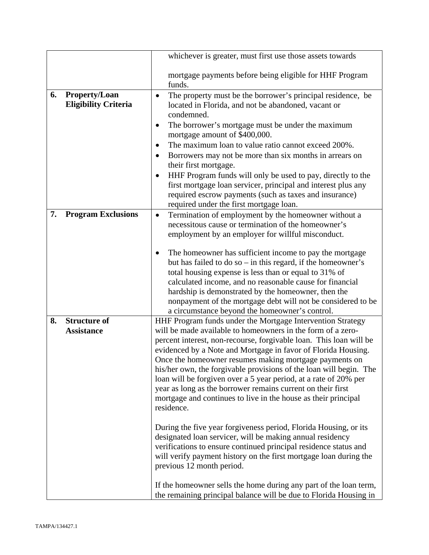|    |                                                     | whichever is greater, must first use those assets towards                                                                                                                                                                                                                                                                                                                                                                                                                                                                                                                                                                                                                                                                                                                                                                                                                                                                                                                                                                                                            |
|----|-----------------------------------------------------|----------------------------------------------------------------------------------------------------------------------------------------------------------------------------------------------------------------------------------------------------------------------------------------------------------------------------------------------------------------------------------------------------------------------------------------------------------------------------------------------------------------------------------------------------------------------------------------------------------------------------------------------------------------------------------------------------------------------------------------------------------------------------------------------------------------------------------------------------------------------------------------------------------------------------------------------------------------------------------------------------------------------------------------------------------------------|
|    |                                                     | mortgage payments before being eligible for HHF Program<br>funds.                                                                                                                                                                                                                                                                                                                                                                                                                                                                                                                                                                                                                                                                                                                                                                                                                                                                                                                                                                                                    |
| 6. | <b>Property/Loan</b><br><b>Eligibility Criteria</b> | The property must be the borrower's principal residence, be<br>$\bullet$<br>located in Florida, and not be abandoned, vacant or<br>condemned.<br>The borrower's mortgage must be under the maximum<br>$\bullet$<br>mortgage amount of \$400,000.<br>The maximum loan to value ratio cannot exceed 200%.<br>Borrowers may not be more than six months in arrears on<br>their first mortgage.<br>HHF Program funds will only be used to pay, directly to the<br>first mortgage loan servicer, principal and interest plus any<br>required escrow payments (such as taxes and insurance)<br>required under the first mortgage loan.                                                                                                                                                                                                                                                                                                                                                                                                                                     |
| 7. | <b>Program Exclusions</b>                           | Termination of employment by the homeowner without a<br>$\bullet$<br>necessitous cause or termination of the homeowner's<br>employment by an employer for willful misconduct.<br>The homeowner has sufficient income to pay the mortgage<br>but has failed to do so – in this regard, if the homeowner's<br>total housing expense is less than or equal to 31% of<br>calculated income, and no reasonable cause for financial<br>hardship is demonstrated by the homeowner, then the<br>nonpayment of the mortgage debt will not be considered to be<br>a circumstance beyond the homeowner's control.                                                                                                                                                                                                                                                                                                                                                                                                                                                               |
| 8. | <b>Structure of</b><br><b>Assistance</b>            | HHF Program funds under the Mortgage Intervention Strategy<br>will be made available to homeowners in the form of a zero-<br>percent interest, non-recourse, forgivable loan. This loan will be<br>evidenced by a Note and Mortgage in favor of Florida Housing.<br>Once the homeowner resumes making mortgage payments on<br>his/her own, the forgivable provisions of the loan will begin. The<br>loan will be forgiven over a 5 year period, at a rate of 20% per<br>year as long as the borrower remains current on their first<br>mortgage and continues to live in the house as their principal<br>residence.<br>During the five year forgiveness period, Florida Housing, or its<br>designated loan servicer, will be making annual residency<br>verifications to ensure continued principal residence status and<br>will verify payment history on the first mortgage loan during the<br>previous 12 month period.<br>If the homeowner sells the home during any part of the loan term,<br>the remaining principal balance will be due to Florida Housing in |